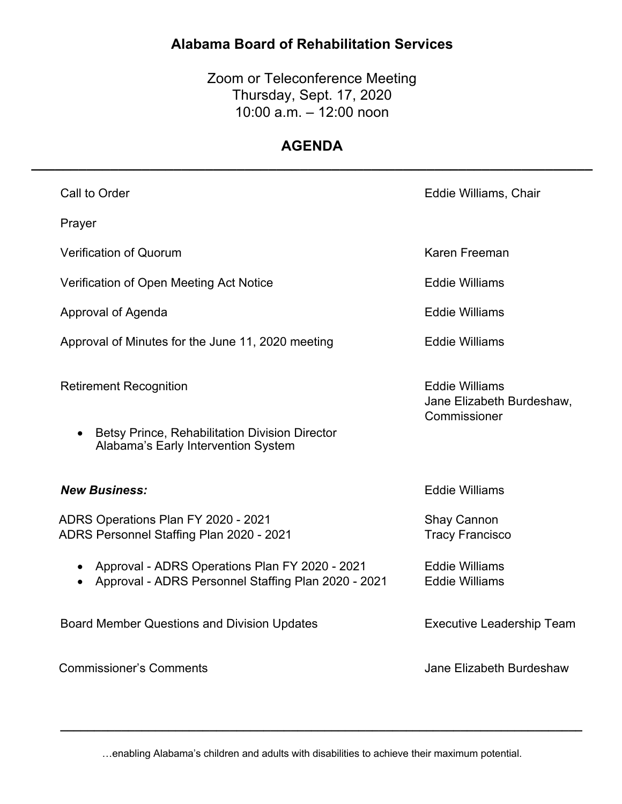# **Alabama Board of Rehabilitation Services**

Zoom or Teleconference Meeting Thursday, Sept. 17, 2020 10:00 a.m. – 12:00 noon

## **AGENDA \_\_\_\_\_\_\_\_\_\_\_\_\_\_\_\_\_\_\_\_\_\_\_\_\_\_\_\_\_\_\_\_\_\_\_\_\_\_\_\_\_\_\_\_\_\_\_\_\_\_\_\_\_\_\_\_\_\_\_\_\_\_\_\_\_\_\_\_\_\_\_**

| Call to Order                                                                                                                              | Eddie Williams, Chair                                              |
|--------------------------------------------------------------------------------------------------------------------------------------------|--------------------------------------------------------------------|
| Prayer                                                                                                                                     |                                                                    |
| <b>Verification of Quorum</b>                                                                                                              | Karen Freeman                                                      |
| Verification of Open Meeting Act Notice                                                                                                    | <b>Eddie Williams</b>                                              |
| Approval of Agenda                                                                                                                         | <b>Eddie Williams</b>                                              |
| Approval of Minutes for the June 11, 2020 meeting                                                                                          | <b>Eddie Williams</b>                                              |
| <b>Retirement Recognition</b><br><b>Betsy Prince, Rehabilitation Division Director</b><br>$\bullet$<br>Alabama's Early Intervention System | <b>Eddie Williams</b><br>Jane Elizabeth Burdeshaw,<br>Commissioner |
| <b>New Business:</b>                                                                                                                       | <b>Eddie Williams</b>                                              |
| ADRS Operations Plan FY 2020 - 2021<br>ADRS Personnel Staffing Plan 2020 - 2021                                                            | <b>Shay Cannon</b><br><b>Tracy Francisco</b>                       |
| Approval - ADRS Operations Plan FY 2020 - 2021<br>$\bullet$<br>Approval - ADRS Personnel Staffing Plan 2020 - 2021<br>$\bullet$            | <b>Eddie Williams</b><br><b>Eddie Williams</b>                     |
| <b>Board Member Questions and Division Updates</b>                                                                                         | <b>Executive Leadership Team</b>                                   |
| <b>Commissioner's Comments</b>                                                                                                             | Jane Elizabeth Burdeshaw                                           |

…enabling Alabama's children and adults with disabilities to achieve their maximum potential.

*\_\_\_\_\_\_\_\_\_\_\_\_\_\_\_\_\_\_\_\_\_\_\_\_\_\_\_\_\_\_\_\_\_\_\_\_\_\_\_\_\_\_\_\_\_\_\_\_\_\_\_\_\_\_\_\_\_\_\_\_\_\_\_\_\_\_\_\_\_\_\_\_\_\_\_\_\_*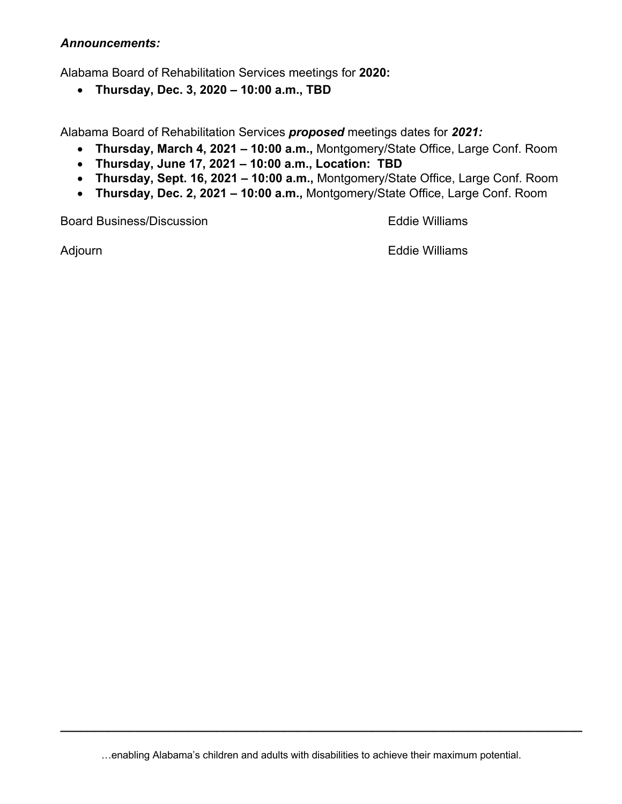#### *Announcements:*

Alabama Board of Rehabilitation Services meetings for **2020:**

• **Thursday, Dec. 3, 2020 – 10:00 a.m., TBD** 

Alabama Board of Rehabilitation Services *proposed* meetings dates for *2021:*

- **Thursday, March 4, 2021 – 10:00 a.m.,** Montgomery/State Office, Large Conf. Room
- **Thursday, June 17, 2021 – 10:00 a.m., Location: TBD**
- **Thursday, Sept. 16, 2021 – 10:00 a.m.,** Montgomery/State Office, Large Conf. Room
- **Thursday, Dec. 2, 2021 – 10:00 a.m.,** Montgomery/State Office, Large Conf. Room

Board Business/Discussion Eddie Williams

Adjourn **Eddie Williams** 

…enabling Alabama's children and adults with disabilities to achieve their maximum potential.

*\_\_\_\_\_\_\_\_\_\_\_\_\_\_\_\_\_\_\_\_\_\_\_\_\_\_\_\_\_\_\_\_\_\_\_\_\_\_\_\_\_\_\_\_\_\_\_\_\_\_\_\_\_\_\_\_\_\_\_\_\_\_\_\_\_\_\_\_\_\_\_\_\_\_\_\_\_*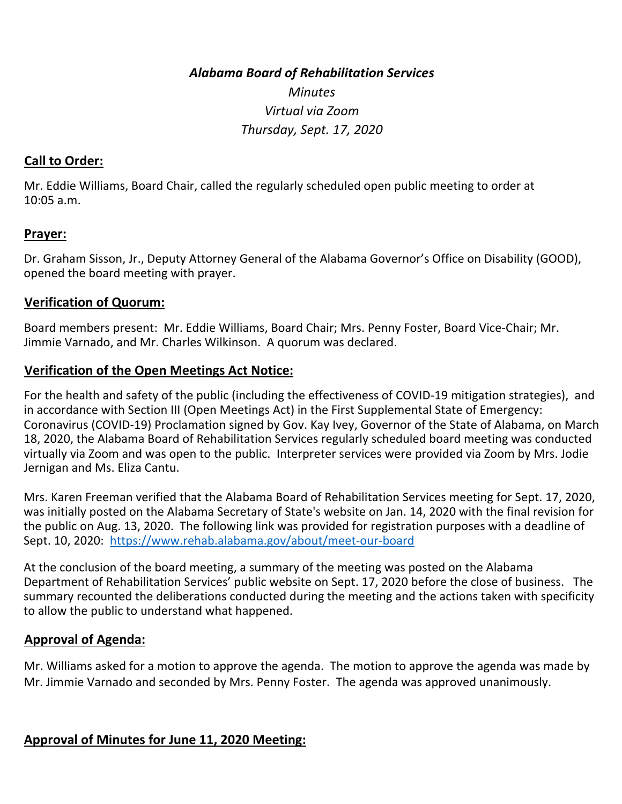*Alabama Board of Rehabilitation Services* 

*Minutes Virtual via Zoom Thursday, Sept. 17, 2020* 

#### **Call to Order:**

Mr. Eddie Williams, Board Chair, called the regularly scheduled open public meeting to order at 10:05 a.m.

#### **Prayer:**

Dr. Graham Sisson, Jr., Deputy Attorney General of the Alabama Governor's Office on Disability (GOOD), opened the board meeting with prayer.

#### **Verification of Quorum:**

Board members present: Mr. Eddie Williams, Board Chair; Mrs. Penny Foster, Board Vice-Chair; Mr. Jimmie Varnado, and Mr. Charles Wilkinson. A quorum was declared.

#### **Verification of the Open Meetings Act Notice:**

For the health and safety of the public (including the effectiveness of COVID-19 mitigation strategies), and in accordance with Section III (Open Meetings Act) in the First Supplemental State of Emergency: Coronavirus (COVID-19) Proclamation signed by Gov. Kay Ivey, Governor of the State of Alabama, on March 18, 2020, the Alabama Board of Rehabilitation Services regularly scheduled board meeting was conducted virtually via Zoom and was open to the public. Interpreter services were provided via Zoom by Mrs. Jodie Jernigan and Ms. Eliza Cantu.

Mrs. Karen Freeman verified that the Alabama Board of Rehabilitation Services meeting for Sept. 17, 2020, was initially posted on the Alabama Secretary of State's website on Jan. 14, 2020 with the final revision for the public on Aug. 13, 2020. The following link was provided for registration purposes with a deadline of Sept. 10, 2020: https://www.rehab.alabama.gov/about/meet-our-board

At the conclusion of the board meeting, a summary of the meeting was posted on the Alabama Department of Rehabilitation Services' public website on Sept. 17, 2020 before the close of business. The summary recounted the deliberations conducted during the meeting and the actions taken with specificity to allow the public to understand what happened.

#### **Approval of Agenda:**

Mr. Williams asked for a motion to approve the agenda. The motion to approve the agenda was made by Mr. Jimmie Varnado and seconded by Mrs. Penny Foster. The agenda was approved unanimously.

### **Approval of Minutes for June 11, 2020 Meeting:**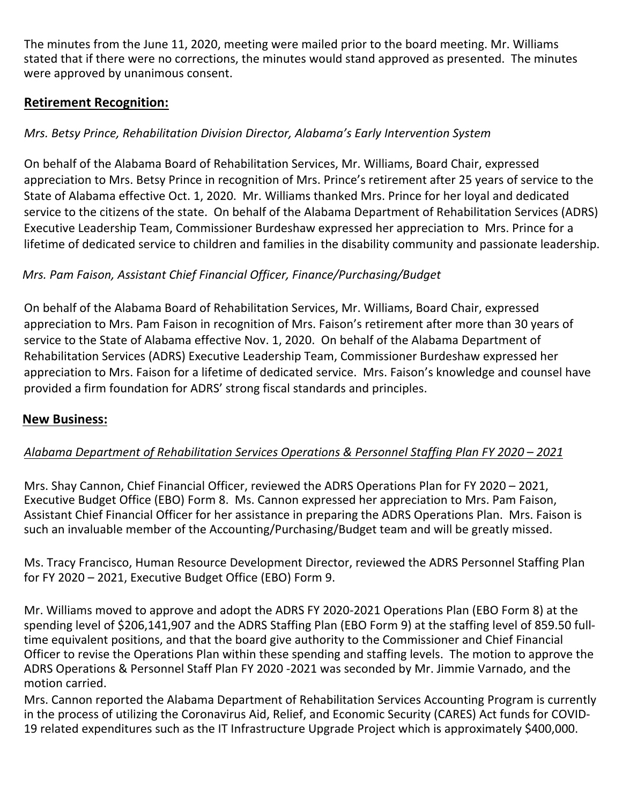The minutes from the June 11, 2020, meeting were mailed prior to the board meeting. Mr. Williams stated that if there were no corrections, the minutes would stand approved as presented. The minutes were approved by unanimous consent.

## **Retirement Recognition:**

### *Mrs. Betsy Prince, Rehabilitation Division Director, Alabama's Early Intervention System*

On behalf of the Alabama Board of Rehabilitation Services, Mr. Williams, Board Chair, expressed appreciation to Mrs. Betsy Prince in recognition of Mrs. Prince's retirement after 25 years of service to the State of Alabama effective Oct. 1, 2020. Mr. Williams thanked Mrs. Prince for her loyal and dedicated service to the citizens of the state. On behalf of the Alabama Department of Rehabilitation Services (ADRS) Executive Leadership Team, Commissioner Burdeshaw expressed her appreciation to Mrs. Prince for a lifetime of dedicated service to children and families in the disability community and passionate leadership.

### *Mrs. Pam Faison, Assistant Chief Financial Officer, Finance/Purchasing/Budget*

On behalf of the Alabama Board of Rehabilitation Services, Mr. Williams, Board Chair, expressed appreciation to Mrs. Pam Faison in recognition of Mrs. Faison's retirement after more than 30 years of service to the State of Alabama effective Nov. 1, 2020. On behalf of the Alabama Department of Rehabilitation Services (ADRS) Executive Leadership Team, Commissioner Burdeshaw expressed her appreciation to Mrs. Faison for a lifetime of dedicated service. Mrs. Faison's knowledge and counsel have provided a firm foundation for ADRS' strong fiscal standards and principles.

### **New Business:**

### *Alabama Department of Rehabilitation Services Operations & Personnel Staffing Plan FY 2020 – 2021*

Mrs. Shay Cannon, Chief Financial Officer, reviewed the ADRS Operations Plan for FY 2020 – 2021, Executive Budget Office (EBO) Form 8. Ms. Cannon expressed her appreciation to Mrs. Pam Faison, Assistant Chief Financial Officer for her assistance in preparing the ADRS Operations Plan. Mrs. Faison is such an invaluable member of the Accounting/Purchasing/Budget team and will be greatly missed.

Ms. Tracy Francisco, Human Resource Development Director, reviewed the ADRS Personnel Staffing Plan for FY 2020 – 2021, Executive Budget Office (EBO) Form 9.

Mr. Williams moved to approve and adopt the ADRS FY 2020-2021 Operations Plan (EBO Form 8) at the spending level of \$206,141,907 and the ADRS Staffing Plan (EBO Form 9) at the staffing level of 859.50 fulltime equivalent positions, and that the board give authority to the Commissioner and Chief Financial Officer to revise the Operations Plan within these spending and staffing levels. The motion to approve the ADRS Operations & Personnel Staff Plan FY 2020 -2021 was seconded by Mr. Jimmie Varnado, and the motion carried.

Mrs. Cannon reported the Alabama Department of Rehabilitation Services Accounting Program is currently in the process of utilizing the Coronavirus Aid, Relief, and Economic Security (CARES) Act funds for COVID-19 related expenditures such as the IT Infrastructure Upgrade Project which is approximately \$400,000.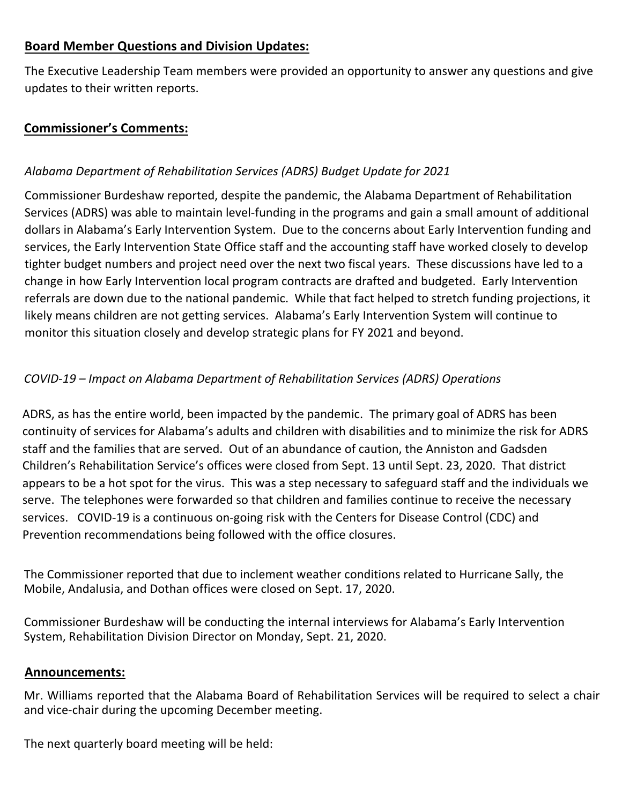## **Board Member Questions and Division Updates:**

The Executive Leadership Team members were provided an opportunity to answer any questions and give updates to their written reports.

### **Commissioner's Comments:**

### *Alabama Department of Rehabilitation Services (ADRS) Budget Update for 2021*

Commissioner Burdeshaw reported, despite the pandemic, the Alabama Department of Rehabilitation Services (ADRS) was able to maintain level-funding in the programs and gain a small amount of additional dollars in Alabama's Early Intervention System. Due to the concerns about Early Intervention funding and services, the Early Intervention State Office staff and the accounting staff have worked closely to develop tighter budget numbers and project need over the next two fiscal years. These discussions have led to a change in how Early Intervention local program contracts are drafted and budgeted. Early Intervention referrals are down due to the national pandemic. While that fact helped to stretch funding projections, it likely means children are not getting services. Alabama's Early Intervention System will continue to monitor this situation closely and develop strategic plans for FY 2021 and beyond.

### *COVID-19 – Impact on Alabama Department of Rehabilitation Services (ADRS) Operations*

ADRS, as has the entire world, been impacted by the pandemic. The primary goal of ADRS has been continuity of services for Alabama's adults and children with disabilities and to minimize the risk for ADRS staff and the families that are served. Out of an abundance of caution, the Anniston and Gadsden Children's Rehabilitation Service's offices were closed from Sept. 13 until Sept. 23, 2020. That district appears to be a hot spot for the virus. This was a step necessary to safeguard staff and the individuals we serve. The telephones were forwarded so that children and families continue to receive the necessary services. COVID-19 is a continuous on-going risk with the Centers for Disease Control (CDC) and Prevention recommendations being followed with the office closures.

The Commissioner reported that due to inclement weather conditions related to Hurricane Sally, the Mobile, Andalusia, and Dothan offices were closed on Sept. 17, 2020.

Commissioner Burdeshaw will be conducting the internal interviews for Alabama's Early Intervention System, Rehabilitation Division Director on Monday, Sept. 21, 2020.

#### **Announcements:**

Mr. Williams reported that the Alabama Board of Rehabilitation Services will be required to select a chair and vice-chair during the upcoming December meeting.

The next quarterly board meeting will be held: